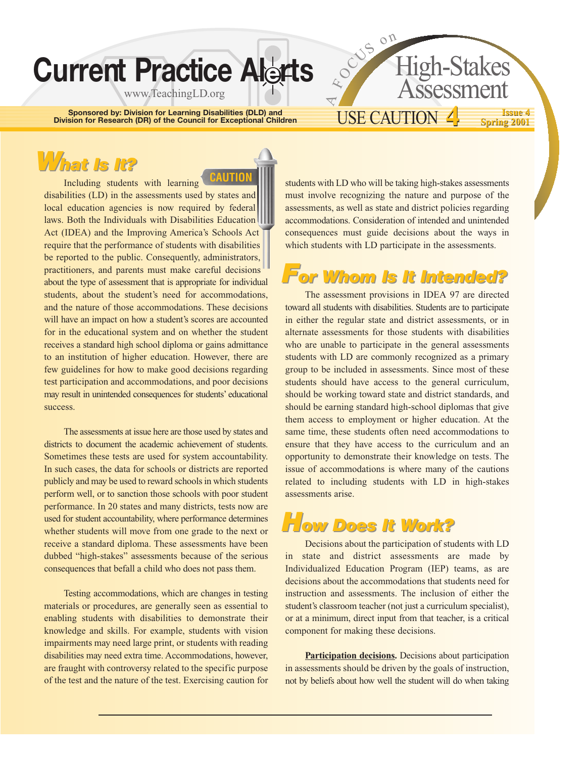# **Current Practice Alerts**

www.TeachingLD.org

**Sponsored by: Division for Learning Disabilities (DLD) and Division for Research (DR) of the Council for Exceptional Children**

**CAUTION**

# USE CAUTION **4**

High-Stakes

Assessme

<sup>O</sup>CU<sup>S</sup> <sup>o</sup><sup>n</sup>

 $\overline{\nabla}$  $\overline{\mathcal{L}}$ 

#### **Issue 4 Spring 2001 Issue 4 4 Spring 2001**

# *What Is It? hat Is It?*

Including students with learning disabilities (LD) in the assessments used by states and local education agencies is now required by federal laws. Both the Individuals with Disabilities Education Act (IDEA) and the Improving America's Schools Act require that the performance of students with disabilities be reported to the public. Consequently, administrators, practitioners, and parents must make careful decisions about the type of assessment that is appropriate for individual students, about the student's need for accommodations, and the nature of those accommodations. These decisions will have an impact on how a student's scores are accounted for in the educational system and on whether the student receives a standard high school diploma or gains admittance to an institution of higher education. However, there are few guidelines for how to make good decisions regarding test participation and accommodations, and poor decisions may result in unintended consequences for students' educational success.

The assessments at issue here are those used by states and districts to document the academic achievement of students. Sometimes these tests are used for system accountability. In such cases, the data for schools or districts are reported publicly and may be used to reward schools in which students perform well, or to sanction those schools with poor student performance. In 20 states and many districts, tests now are used for student accountability, where performance determines whether students will move from one grade to the next or receive a standard diploma. These assessments have been dubbed "high-stakes" assessments because of the serious consequences that befall a child who does not pass them.

Testing accommodations, which are changes in testing materials or procedures, are generally seen as essential to enabling students with disabilities to demonstrate their knowledge and skills. For example, students with vision impairments may need large print, or students with reading disabilities may need extra time. Accommodations, however, are fraught with controversy related to the specific purpose of the test and the nature of the test. Exercising caution for students with LD who will be taking high-stakes assessments must involve recognizing the nature and purpose of the assessments, as well as state and district policies regarding accommodations. Consideration of intended and unintended consequences must guide decisions about the ways in which students with LD participate in the assessments.

#### *For Whom Is It Intended? or Whom Is It Intended?*

The assessment provisions in IDEA 97 are directed toward all students with disabilities. Students are to participate in either the regular state and district assessments, or in alternate assessments for those students with disabilities who are unable to participate in the general assessments students with LD are commonly recognized as a primary group to be included in assessments. Since most of these students should have access to the general curriculum, should be working toward state and district standards, and should be earning standard high-school diplomas that give them access to employment or higher education. At the same time, these students often need accommodations to ensure that they have access to the curriculum and an opportunity to demonstrate their knowledge on tests. The issue of accommodations is where many of the cautions related to including students with LD in high-stakes assessments arise.



Decisions about the participation of students with LD in state and district assessments are made by Individualized Education Program (IEP) teams, as are decisions about the accommodations that students need for instruction and assessments. The inclusion of either the student's classroom teacher (not just a curriculum specialist), or at a minimum, direct input from that teacher, is a critical component for making these decisions.

**Participation decisions.** Decisions about participation in assessments should be driven by the goals of instruction, not by beliefs about how well the student will do when taking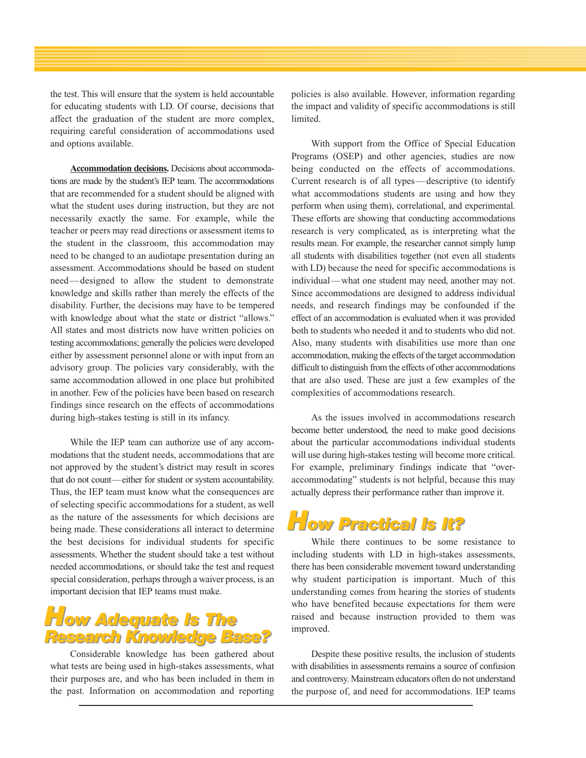the test. This will ensure that the system is held accountable for educating students with LD. Of course, decisions that affect the graduation of the student are more complex, requiring careful consideration of accommodations used and options available.

**Accommodation decisions.** Decisions about accommodations are made by the student's IEP team. The accommodations that are recommended for a student should be aligned with what the student uses during instruction, but they are not necessarily exactly the same. For example, while the teacher or peers may read directions or assessment items to the student in the classroom, this accommodation may need to be changed to an audiotape presentation during an assessment. Accommodations should be based on student need—designed to allow the student to demonstrate knowledge and skills rather than merely the effects of the disability. Further, the decisions may have to be tempered with knowledge about what the state or district "allows." All states and most districts now have written policies on testing accommodations; generally the policies were developed either by assessment personnel alone or with input from an advisory group. The policies vary considerably, with the same accommodation allowed in one place but prohibited in another. Few of the policies have been based on research findings since research on the effects of accommodations during high-stakes testing is still in its infancy.

While the IEP team can authorize use of any accommodations that the student needs, accommodations that are not approved by the student's district may result in scores that do not count—either for student or system accountability. Thus, the IEP team must know what the consequences are of selecting specific accommodations for a student, as well as the nature of the assessments for which decisions are being made. These considerations all interact to determine the best decisions for individual students for specific assessments. Whether the student should take a test without needed accommodations, or should take the test and request special consideration, perhaps through a waiver process, is an important decision that IEP teams must make.

#### *How Adequate Is The How Adequate Is The Research Knowledge Base? Research Knowledge Base?*

Considerable knowledge has been gathered about what tests are being used in high-stakes assessments, what their purposes are, and who has been included in them in the past. Information on accommodation and reporting policies is also available. However, information regarding the impact and validity of specific accommodations is still limited.

With support from the Office of Special Education Programs (OSEP) and other agencies, studies are now being conducted on the effects of accommodations. Current research is of all types—descriptive (to identify what accommodations students are using and how they perform when using them), correlational, and experimental. These efforts are showing that conducting accommodations research is very complicated, as is interpreting what the results mean. For example, the researcher cannot simply lump all students with disabilities together (not even all students with LD) because the need for specific accommodations is individual—what one student may need, another may not. Since accommodations are designed to address individual needs, and research findings may be confounded if the effect of an accommodation is evaluated when it was provided both to students who needed it and to students who did not. Also, many students with disabilities use more than one accommodation, making the effects of the target accommodation difficult to distinguish from the effects of other accommodations that are also used. These are just a few examples of the complexities of accommodations research.

As the issues involved in accommodations research become better understood, the need to make good decisions about the particular accommodations individual students will use during high-stakes testing will become more critical. For example, preliminary findings indicate that "overaccommodating" students is not helpful, because this may actually depress their performance rather than improve it.



While there continues to be some resistance to including students with LD in high-stakes assessments, there has been considerable movement toward understanding why student participation is important. Much of this understanding comes from hearing the stories of students who have benefited because expectations for them were raised and because instruction provided to them was improved.

Despite these positive results, the inclusion of students with disabilities in assessments remains a source of confusion and controversy. Mainstream educators often do not understand the purpose of, and need for accommodations. IEP teams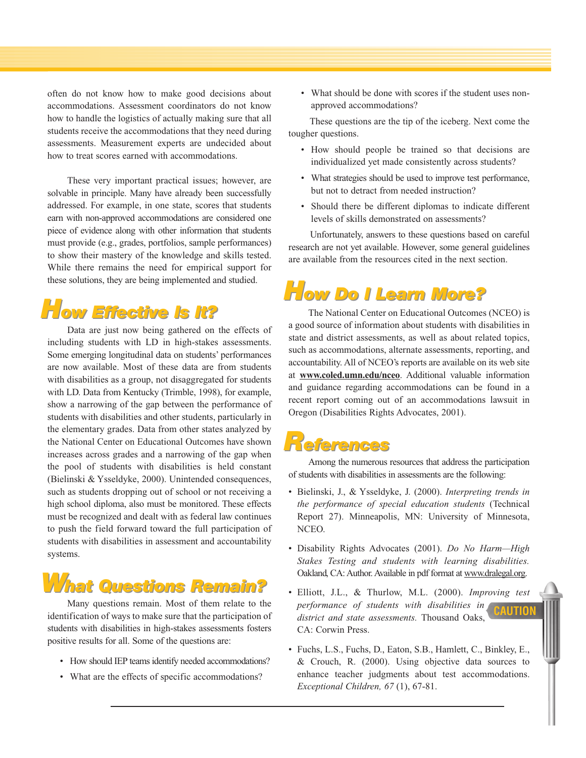often do not know how to make good decisions about accommodations. Assessment coordinators do not know how to handle the logistics of actually making sure that all students receive the accommodations that they need during assessments. Measurement experts are undecided about how to treat scores earned with accommodations.

These very important practical issues; however, are solvable in principle. Many have already been successfully addressed. For example, in one state, scores that students earn with non-approved accommodations are considered one piece of evidence along with other information that students must provide (e.g., grades, portfolios, sample performances) to show their mastery of the knowledge and skills tested. While there remains the need for empirical support for these solutions, they are being implemented and studied.

#### *How Effective Is It? ow Effective Is It?*

Data are just now being gathered on the effects of including students with LD in high-stakes assessments. Some emerging longitudinal data on students' performances are now available. Most of these data are from students with disabilities as a group, not disaggregated for students with LD. Data from Kentucky (Trimble, 1998), for example, show a narrowing of the gap between the performance of students with disabilities and other students, particularly in the elementary grades. Data from other states analyzed by the National Center on Educational Outcomes have shown increases across grades and a narrowing of the gap when the pool of students with disabilities is held constant (Bielinski & Ysseldyke, 2000). Unintended consequences, such as students dropping out of school or not receiving a high school diploma, also must be monitored. These effects must be recognized and dealt with as federal law continues to push the field forward toward the full participation of students with disabilities in assessment and accountability systems.

# *What Questions Remain? hat Questions Remain?*

Many questions remain. Most of them relate to the identification of ways to make sure that the participation of students with disabilities in high-stakes assessments fosters positive results for all. Some of the questions are:

- How should IEP teams identify needed accommodations?
- What are the effects of specific accommodations?

• What should be done with scores if the student uses nonapproved accommodations?

These questions are the tip of the iceberg. Next come the tougher questions.

- How should people be trained so that decisions are individualized yet made consistently across students?
- What strategies should be used to improve test performance, but not to detract from needed instruction?
- Should there be different diplomas to indicate different levels of skills demonstrated on assessments?

Unfortunately, answers to these questions based on careful research are not yet available. However, some general guidelines are available from the resources cited in the next section.

## *How Do I Learn More? ow Do I Learn More?*

The National Center on Educational Outcomes (NCEO) is a good source of information about students with disabilities in state and district assessments, as well as about related topics, such as accommodations, alternate assessments, reporting, and accountability. All of NCEO's reports are available on its web site at **www.coled.umn.edu/nceo**. Additional valuable information and guidance regarding accommodations can be found in a recent report coming out of an accommodations lawsuit in Oregon (Disabilities Rights Advocates, 2001).

#### *References eferences*

Among the numerous resources that address the participation of students with disabilities in assessments are the following:

- Bielinski, J., & Ysseldyke, J. (2000). *Interpreting trends in the performance of special education students* (Technical Report 27). Minneapolis, MN: University of Minnesota, NCEO.
- Disability Rights Advocates (2001). *Do No Harm—High Stakes Testing and students with learning disabilities.*  Oakland, CA: Author. Available in pdf format at www.dralegal.org.
- Elliott, J.L., & Thurlow, M.L. (2000). *Improving test performance of students with disabilities in district and state assessments.* Thousand Oaks, CA: Corwin Press. **CAUTION**
- Fuchs, L.S., Fuchs, D., Eaton, S.B., Hamlett, C., Binkley, E., & Crouch, R. (2000). Using objective data sources to enhance teacher judgments about test accommodations. *Exceptional Children, 67* (1), 67-81.